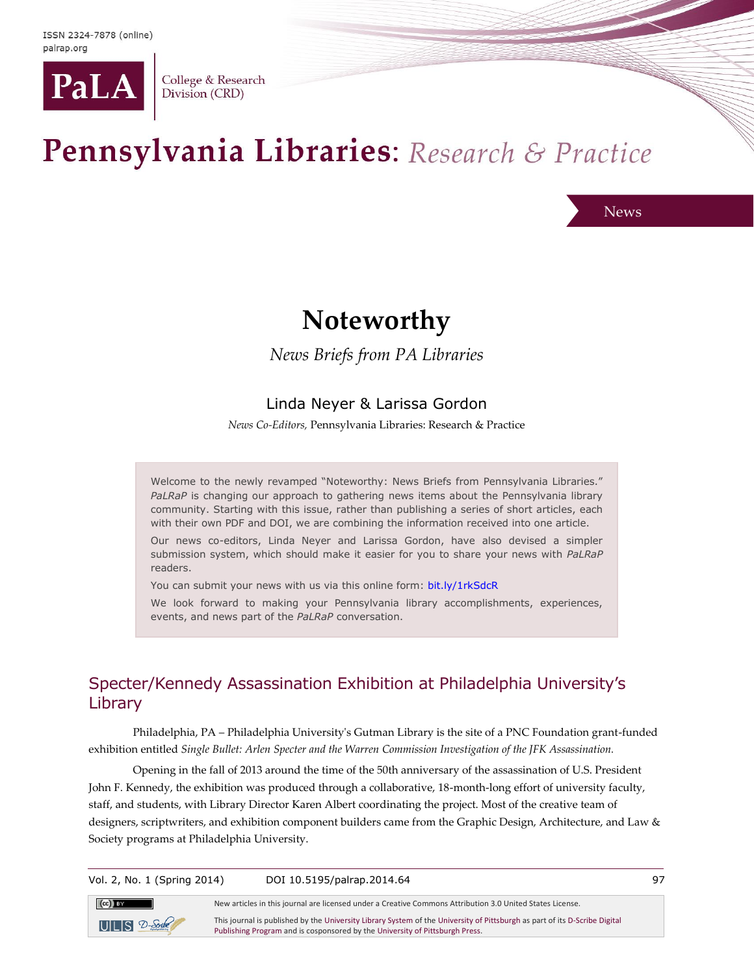

College & Research Division (CRD)

# Pennsylvania Libraries: Research & Practice

News

# **Noteworthy**

*News Briefs from PA Libraries*

#### Linda Neyer & Larissa Gordon

*News Co-Editors,* Pennsylvania Libraries: Research & Practice

Welcome to the newly revamped "Noteworthy: News Briefs from Pennsylvania Libraries." *PaLRaP* is changing our approach to gathering news items about the Pennsylvania library community. Starting with this issue, rather than publishing a series of short articles, each with their own PDF and DOI, we are combining the information received into one article.

Our news co-editors, Linda Neyer and Larissa Gordon, have also devised a simpler submission system, which should make it easier for you to share your news with *PaLRaP* readers.

You can submit your news with us via this online form: [bit.ly/1rkSdcR](http://bit.ly/1rkSdcR)

We look forward to making your Pennsylvania library accomplishments, experiences, events, and news part of the *PaLRaP* conversation.

# Specter/Kennedy Assassination Exhibition at Philadelphia University's Library

Philadelphia, PA – Philadelphia University's Gutman Library is the site of a PNC Foundation grant-funded exhibition entitled *Single Bullet: Arlen Specter and the Warren Commission Investigation of the JFK Assassination.*

Opening in the fall of 2013 around the time of the 50th anniversary of the assassination of U.S. President John F. Kennedy, the exhibition was produced through a collaborative, 18-month-long effort of university faculty, staff, and students, with Library Director Karen Albert coordinating the project. Most of the creative team of designers, scriptwriters, and exhibition component builders came from the Graphic Design, Architecture, and Law & Society programs at Philadelphia University.

Vol. 2, No. 1 (Spring 2014) DOI 10.5195/palrap.2014.64 97  $(cc)$  BY New articles in this journal are licensed under a Creative Commons Attribution 3.0 United States License. This journal is published by th[e University Library System](http://www.library.pitt.edu/) of th[e University of Pittsburgh](http://www.pitt.edu/) as part of it[s D-Scribe Digital](http://www.library.pitt.edu/articles/digpubtype/index.html)   $UILS2$ -Scrib

[Publishing Program](http://www.library.pitt.edu/articles/digpubtype/index.html) and is cosponsored by th[e University of Pittsburgh Press.](http://upress.pitt.edu/)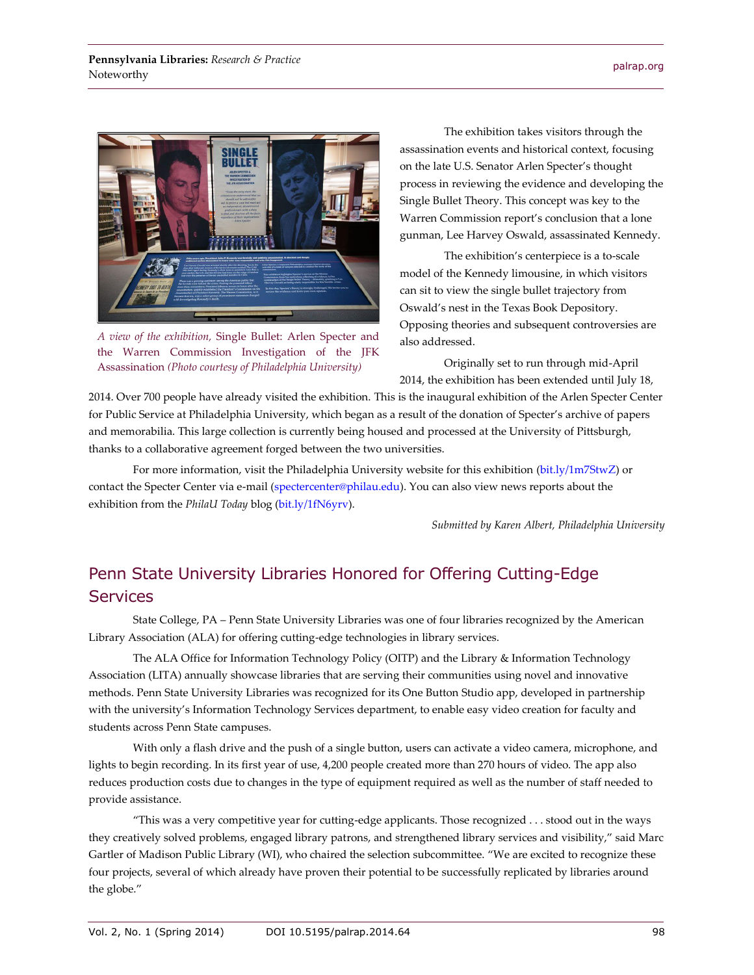

*A view of the exhibition,* Single Bullet: Arlen Specter and the Warren Commission Investigation of the JFK Assassination *(Photo courtesy of Philadelphia University)*

The exhibition takes visitors through the assassination events and historical context, focusing on the late U.S. Senator Arlen Specter's thought process in reviewing the evidence and developing the Single Bullet Theory. This concept was key to the Warren Commission report's conclusion that a lone gunman, Lee Harvey Oswald, assassinated Kennedy.

The exhibition's centerpiece is a to-scale model of the Kennedy limousine, in which visitors can sit to view the single bullet trajectory from Oswald's nest in the Texas Book Depository. Opposing theories and subsequent controversies are also addressed.

Originally set to run through mid-April 2014, the exhibition has been extended until July 18,

2014. Over 700 people have already visited the exhibition. This is the inaugural exhibition of the Arlen Specter Center for Public Service at Philadelphia University, which began as a result of the donation of Specter's archive of papers and memorabilia. This large collection is currently being housed and processed at the University of Pittsburgh, thanks to a collaborative agreement forged between the two universities.

For more information, visit the Philadelphia University website for this exhibition [\(bit.ly/1m7StwZ\)](mailto:bit.ly/1m7StwZ) or contact the Specter Center via e-mail [\(spectercenter@philau.edu\)](mailto:spectercenter@philau.edu). You can also view news reports about the exhibition from the *PhilaU Today* blog [\(bit.ly/1fN6yrv\)](http://bit.ly/1fN6yrv).

*Submitted by Karen Albert, Philadelphia University*

# Penn State University Libraries Honored for Offering Cutting-Edge **Services**

State College, PA – Penn State University Libraries was one of four libraries recognized by the American Library Association (ALA) for offering cutting-edge technologies in library services.

The ALA Office for Information Technology Policy (OITP) and the Library & Information Technology Association (LITA) annually showcase libraries that are serving their communities using novel and innovative methods. Penn State University Libraries was recognized for its One Button Studio app, developed in partnership with the university's Information Technology Services department, to enable easy video creation for faculty and students across Penn State campuses.

With only a flash drive and the push of a single button, users can activate a video camera, microphone, and lights to begin recording. In its first year of use, 4,200 people created more than 270 hours of video. The app also reduces production costs due to changes in the type of equipment required as well as the number of staff needed to provide assistance.

"This was a very competitive year for cutting-edge applicants. Those recognized . . . stood out in the ways they creatively solved problems, engaged library patrons, and strengthened library services and visibility," said Marc Gartler of Madison Public Library (WI), who chaired the selection subcommittee. "We are excited to recognize these four projects, several of which already have proven their potential to be successfully replicated by libraries around the globe."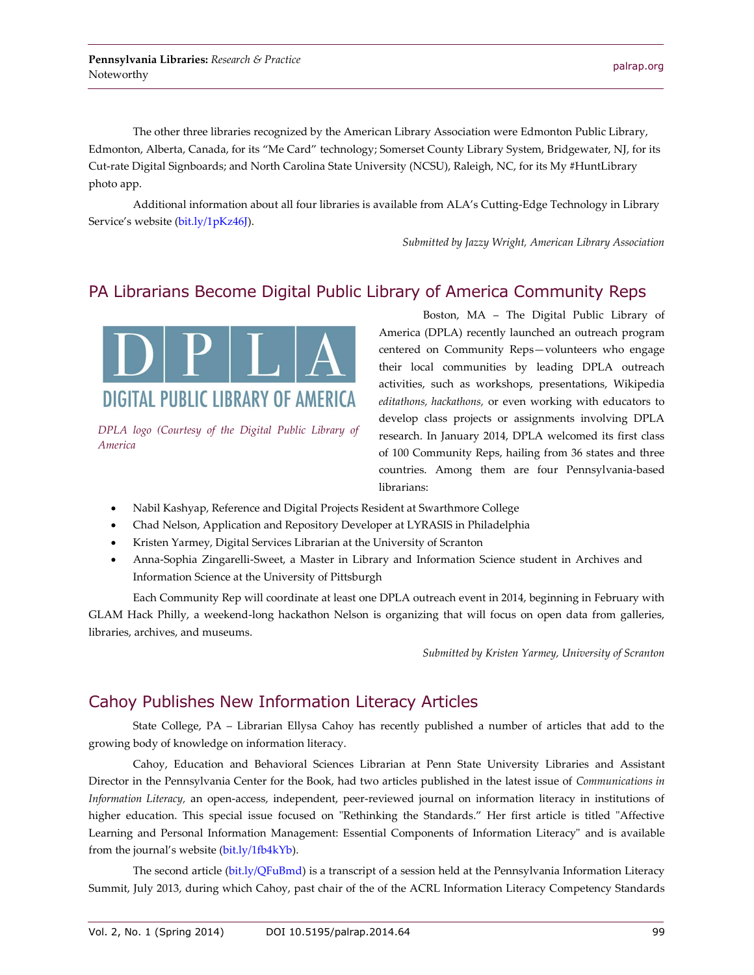The other three libraries recognized by the American Library Association were Edmonton Public Library, Edmonton, Alberta, Canada, for its "Me Card" technology; Somerset County Library System, Bridgewater, NJ, for its Cut-rate Digital Signboards; and North Carolina State University (NCSU), Raleigh, NC, for its My #HuntLibrary photo app.

Additional information about all four libraries is available from ALA's Cutting-Edge Technology in Library Service's website [\(bit.ly/1pKz46J\)](http://bit.ly/1pKz46J).

*Submitted by Jazzy Wright, American Library Association*

#### PA Librarians Become Digital Public Library of America Community Reps



*DPLA logo (Courtesy of the Digital Public Library of America*

Boston, MA – The Digital Public Library of America (DPLA) recently launched an outreach program centered on Community Reps—volunteers who engage their local communities by leading DPLA outreach activities, such as workshops, presentations, Wikipedia *editathons, hackathons,* or even working with educators to develop class projects or assignments involving DPLA research. In January 2014, DPLA welcomed its first class of 100 Community Reps, hailing from 36 states and three countries. Among them are four Pennsylvania-based librarians:

- Nabil Kashyap, Reference and Digital Projects Resident at Swarthmore College
- Chad Nelson, Application and Repository Developer at LYRASIS in Philadelphia
- Kristen Yarmey, Digital Services Librarian at the University of Scranton
- Anna-Sophia Zingarelli-Sweet, a Master in Library and Information Science student in Archives and Information Science at the University of Pittsburgh

Each Community Rep will coordinate at least one DPLA outreach event in 2014, beginning in February with GLAM Hack Philly, a weekend-long hackathon Nelson is organizing that will focus on open data from galleries, libraries, archives, and museums.

*Submitted by Kristen Yarmey, University of Scranton*

#### Cahoy Publishes New Information Literacy Articles

State College, PA – Librarian Ellysa Cahoy has recently published a number of articles that add to the growing body of knowledge on information literacy.

Cahoy, Education and Behavioral Sciences Librarian at Penn State University Libraries and Assistant Director in the Pennsylvania Center for the Book, had two articles published in the latest issue of *Communications in Information Literacy,* an open-access, independent, peer-reviewed journal on information literacy in institutions of higher education. This special issue focused on "Rethinking the Standards." Her first article is titled "Affective Learning and Personal Information Management: Essential Components of Information Literacy" and is available from the journal's website ([bit.ly/1fb4kYb\)](http://bit.ly/1fb4kYb).

The second article [\(bit.ly/QFuBmd\)](http://bit.ly/QFuBmd) is a transcript of a session held at the Pennsylvania Information Literacy Summit, July 2013, during which Cahoy, past chair of the of the ACRL Information Literacy Competency Standards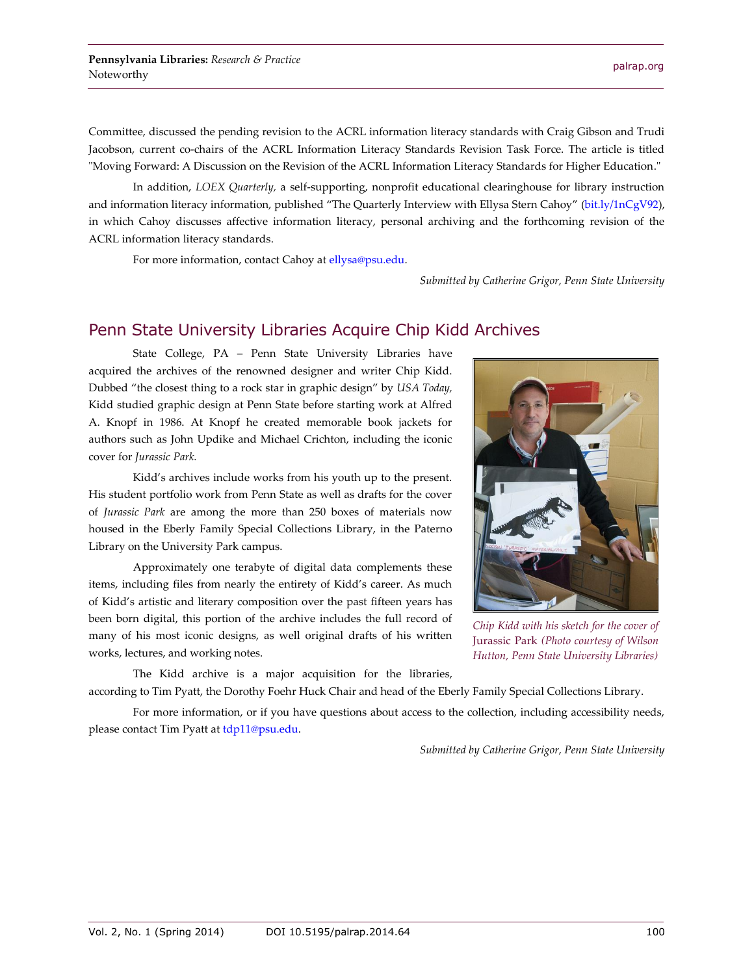Committee, discussed the pending revision to the ACRL information literacy standards with Craig Gibson and Trudi Jacobson, current co-chairs of the ACRL Information Literacy Standards Revision Task Force. The article is titled "Moving Forward: A Discussion on the Revision of the ACRL Information Literacy Standards for Higher Education."

In addition, *LOEX Quarterly,* a self-supporting, nonprofit educational clearinghouse for library instruction and information literacy information, published "The Quarterly Interview with Ellysa Stern Cahoy" [\(bit.ly/1nCgV92\)](http://bit.ly/1nCgV92), in which Cahoy discusses affective information literacy, personal archiving and the forthcoming revision of the ACRL information literacy standards.

For more information, contact Cahoy a[t ellysa@psu.edu.](mailto:ellysa@psu.edu)

*Submitted by Catherine Grigor, Penn State University*

#### Penn State University Libraries Acquire Chip Kidd Archives

State College, PA – Penn State University Libraries have acquired the archives of the renowned designer and writer Chip Kidd. Dubbed "the closest thing to a rock star in graphic design" by *USA Today,* Kidd studied graphic design at Penn State before starting work at Alfred A. Knopf in 1986. At Knopf he created memorable book jackets for authors such as John Updike and Michael Crichton, including the iconic cover for *Jurassic Park.*

Kidd's archives include works from his youth up to the present. His student portfolio work from Penn State as well as drafts for the cover of *Jurassic Park* are among the more than 250 boxes of materials now housed in the Eberly Family Special Collections Library, in the Paterno Library on the University Park campus.

Approximately one terabyte of digital data complements these items, including files from nearly the entirety of Kidd's career. As much of Kidd's artistic and literary composition over the past fifteen years has been born digital, this portion of the archive includes the full record of many of his most iconic designs, as well original drafts of his written works, lectures, and working notes.



*Chip Kidd with his sketch for the cover of*  Jurassic Park *(Photo courtesy of Wilson Hutton, Penn State University Libraries)*

The Kidd archive is a major acquisition for the libraries, according to Tim Pyatt, the Dorothy Foehr Huck Chair and head of the Eberly Family Special Collections Library.

For more information, or if you have questions about access to the collection, including accessibility needs, please contact Tim Pyatt at [tdp11@psu.edu.](mailto:tdp11@psu.edu)

*Submitted by Catherine Grigor, Penn State University*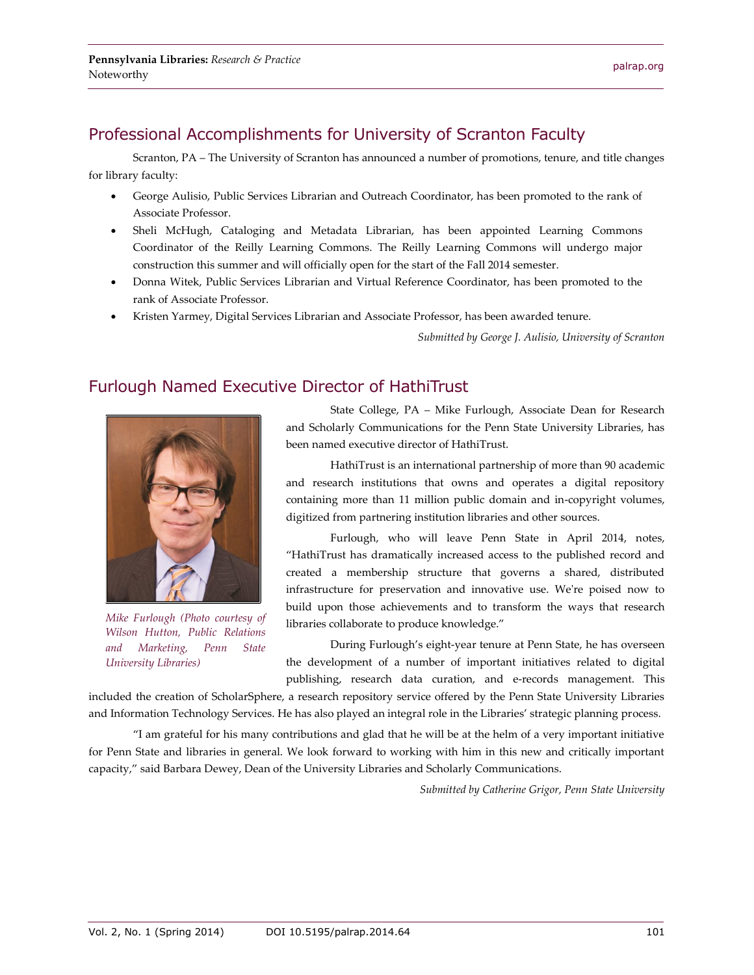Scranton, PA – The University of Scranton has announced a number of promotions, tenure, and title changes for library faculty:

- George Aulisio, Public Services Librarian and Outreach Coordinator, has been promoted to the rank of Associate Professor.
- Sheli McHugh, Cataloging and Metadata Librarian, has been appointed Learning Commons Coordinator of the Reilly Learning Commons. The Reilly Learning Commons will undergo major construction this summer and will officially open for the start of the Fall 2014 semester.
- Donna Witek, Public Services Librarian and Virtual Reference Coordinator, has been promoted to the rank of Associate Professor.
- Kristen Yarmey, Digital Services Librarian and Associate Professor, has been awarded tenure.

*Submitted by George J. Aulisio, University of Scranton*

# Furlough Named Executive Director of HathiTrust



*Mike Furlough (Photo courtesy of Wilson Hutton, Public Relations and Marketing, Penn State University Libraries)*

State College, PA – Mike Furlough, Associate Dean for Research and Scholarly Communications for the Penn State University Libraries, has been named executive director of HathiTrust.

HathiTrust is an international partnership of more than 90 academic and research institutions that owns and operates a digital repository containing more than 11 million public domain and in-copyright volumes, digitized from partnering institution libraries and other sources.

Furlough, who will leave Penn State in April 2014, notes, "HathiTrust has dramatically increased access to the published record and created a membership structure that governs a shared, distributed infrastructure for preservation and innovative use. We're poised now to build upon those achievements and to transform the ways that research libraries collaborate to produce knowledge."

During Furlough's eight-year tenure at Penn State, he has overseen the development of a number of important initiatives related to digital publishing, research data curation, and e-records management. This

included the creation of ScholarSphere, a research repository service offered by the Penn State University Libraries and Information Technology Services. He has also played an integral role in the Libraries' strategic planning process.

"I am grateful for his many contributions and glad that he will be at the helm of a very important initiative for Penn State and libraries in general. We look forward to working with him in this new and critically important capacity," said Barbara Dewey, Dean of the University Libraries and Scholarly Communications.

*Submitted by Catherine Grigor, Penn State University*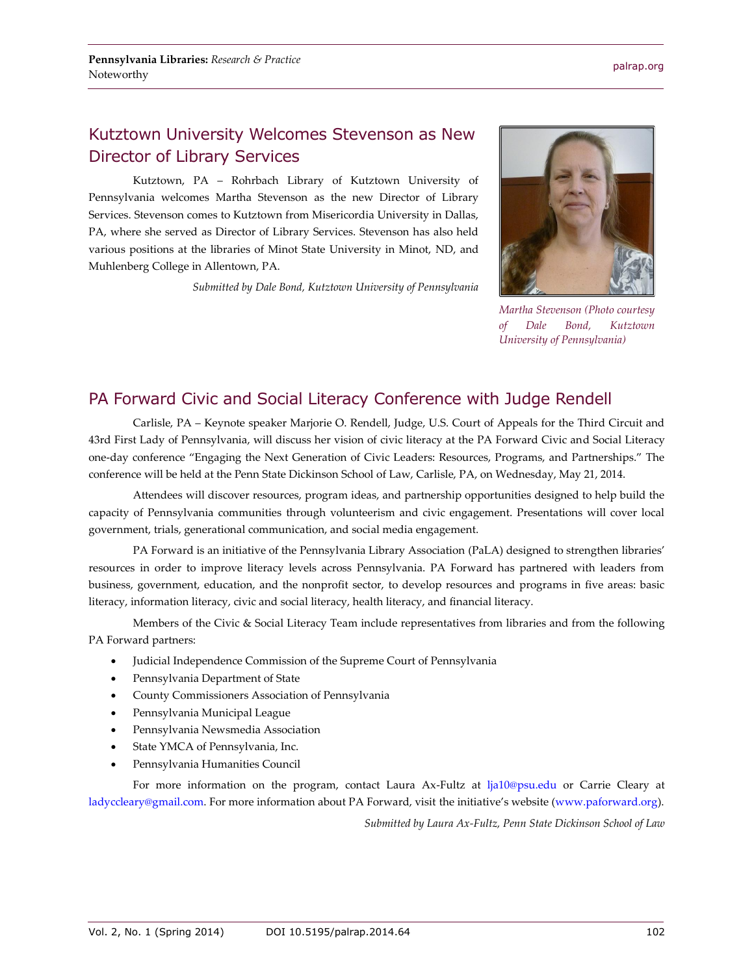# Kutztown University Welcomes Stevenson as New Director of Library Services

Kutztown, PA – Rohrbach Library of Kutztown University of Pennsylvania welcomes Martha Stevenson as the new Director of Library Services. Stevenson comes to Kutztown from Misericordia University in Dallas, PA, where she served as Director of Library Services. Stevenson has also held various positions at the libraries of Minot State University in Minot, ND, and Muhlenberg College in Allentown, PA.

*Submitted by Dale Bond, Kutztown University of Pennsylvania*



*Martha Stevenson (Photo courtesy of Dale Bond, Kutztown University of Pennsylvania)*

# PA Forward Civic and Social Literacy Conference with Judge Rendell

Carlisle, PA – Keynote speaker Marjorie O. Rendell, Judge, U.S. Court of Appeals for the Third Circuit and 43rd First Lady of Pennsylvania, will discuss her vision of civic literacy at the PA Forward Civic and Social Literacy one-day conference "Engaging the Next Generation of Civic Leaders: Resources, Programs, and Partnerships." The conference will be held at the Penn State Dickinson School of Law, Carlisle, PA, on Wednesday, May 21, 2014.

Attendees will discover resources, program ideas, and partnership opportunities designed to help build the capacity of Pennsylvania communities through volunteerism and civic engagement. Presentations will cover local government, trials, generational communication, and social media engagement.

PA Forward is an initiative of the Pennsylvania Library Association (PaLA) designed to strengthen libraries' resources in order to improve literacy levels across Pennsylvania. PA Forward has partnered with leaders from business, government, education, and the nonprofit sector, to develop resources and programs in five areas: basic literacy, information literacy, civic and social literacy, health literacy, and financial literacy.

Members of the Civic & Social Literacy Team include representatives from libraries and from the following PA Forward partners:

- Judicial Independence Commission of the Supreme Court of Pennsylvania
- Pennsylvania Department of State
- County Commissioners Association of Pennsylvania
- Pennsylvania Municipal League
- Pennsylvania Newsmedia Association
- State YMCA of Pennsylvania, Inc.
- Pennsylvania Humanities Council

For more information on the program, contact Laura Ax-Fultz at [lja10@psu.edu](file:///C:/Users/jhb23/Documents/PaLA-CRD/v2%20n1/lja10@psu.edu) or Carrie Cleary at [ladyccleary@gmail.com.](file:///C:/Users/jhb23/Documents/PaLA-CRD/v2%20n1/ladyccleary@gmail.com) For more information about PA Forward, visit the initiative's website ([www.paforward.org\)](http://www.paforward.org/).

*Submitted by Laura Ax-Fultz, Penn State Dickinson School of Law*